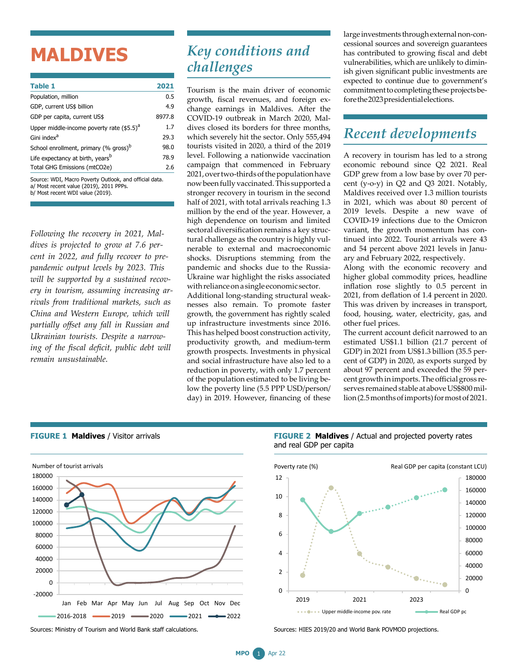# **MALDIVES**

b/ Most recent WDI value (2019).

| <b>Table 1</b>                                                                                    | 2021   |
|---------------------------------------------------------------------------------------------------|--------|
| Population, million                                                                               | 0.5    |
| GDP, current US\$ billion                                                                         | 4.9    |
| GDP per capita, current US\$                                                                      | 8977.8 |
| Upper middle-income poverty rate $($ \$5.5) <sup>a</sup>                                          | 1.7    |
| Gini index <sup>a</sup>                                                                           | 29.3   |
| School enrollment, primary (% gross) <sup>b</sup>                                                 | 98.0   |
| Life expectancy at birth, years <sup>b</sup>                                                      | 78.9   |
| Total GHG Emissions (mtCO2e)                                                                      | 2.6    |
| Source: WDI, Macro Poverty Outlook, and official data.<br>a/ Most recent value (2019), 2011 PPPs. |        |

*Following the recovery in 2021, Maldives is projected to grow at 7.6 percent in 2022, and fully recover to prepandemic output levels by 2023. This will be supported by a sustained recovery in tourism, assuming increasing arrivals from traditional markets, such as China and Western Europe, which will partially offset any fall in Russian and Ukrainian tourists. Despite a narrowing of the fiscal deficit, public debt will remain unsustainable.*

## *Key conditions and challenges*

Tourism is the main driver of economic growth, fiscal revenues, and foreign exchange earnings in Maldives. After the COVID-19 outbreak in March 2020, Maldives closed its borders for three months, which severely hit the sector. Only 555,494 tourists visited in 2020, a third of the 2019 level. Following a nationwide vaccination campaign that commenced in February 2021,overtwo-thirdsofthepopulationhave now been fully vaccinated. This supported a stronger recovery in tourism in the second half of 2021, with total arrivals reaching 1.3 million by the end of the year. However, a high dependence on tourism and limited sectoral diversification remains a key structural challenge as the country is highly vulnerable to external and macroeconomic shocks. Disruptions stemming from the pandemic and shocks due to the Russia-Ukraine war highlight the risks associated withrelianceonasingle economic sector. Additional long-standing structural weak-

nesses also remain. To promote faster growth, the government has rightly scaled up infrastructure investments since 2016. This has helped boost construction activity, productivity growth, and medium-term growth prospects. Investments in physical and social infrastructure have also led to a reduction in poverty, with only 1.7 percent of the population estimated to be living below the poverty line (5.5 PPP USD/person/ day) in 2019. However, financing of these large investments through external non-concessional sources and sovereign guarantees has contributed to growing fiscal and debt vulnerabilities, which are unlikely to diminish given significant public investments are expected to continue due to government's commitment to completing these projects beforethe2023presidentialelections.

# *Recent developments*

A recovery in tourism has led to a strong economic rebound since Q2 2021. Real GDP grew from a low base by over 70 percent (y-o-y) in Q2 and Q3 2021. Notably, Maldives received over 1.3 million tourists in 2021, which was about 80 percent of 2019 levels. Despite a new wave of COVID-19 infections due to the Omicron variant, the growth momentum has continued into 2022. Tourist arrivals were 43 and 54 percent above 2021 levels in January and February 2022, respectively.

Along with the economic recovery and higher global commodity prices, headline inflation rose slightly to 0.5 percent in 2021, from deflation of 1.4 percent in 2020. This was driven by increases in transport, food, housing, water, electricity, gas, and other fuel prices.

The current account deficit narrowed to an estimated US\$1.1 billion (21.7 percent of GDP) in 2021 from US\$1.3 billion (35.5 percent of GDP) in 2020, as exports surged by about 97 percent and exceeded the 59 percent growth in imports. The official gross reserves remained stable at above US\$800 million (2.5 months of imports) for most of 2021.



#### **FIGURE 1 Maldives** / Visitor arrivals

**FIGURE 2 Maldives** / Actual and projected poverty rates and real GDP per capita



Sources: HIES 2019/20 and World Bank POVMOD projections.